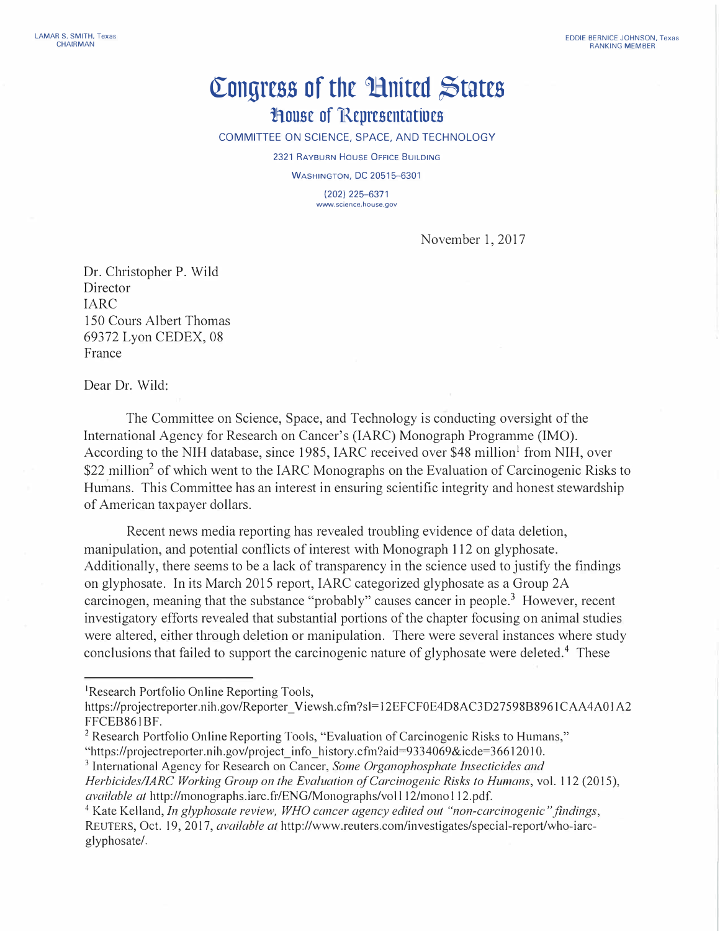## **([ongrcss of the tlnitcd �tatcs lA.ousc of 'Rcprcscntatiocs**

COMMITTEE ON SCIENCE, SPACE, AND TECHNOLOGY

2321 RAYBURN HOUSE OFFICE BUILDING

WASHINGTON, DC 20515-6301

(202) 225-6371 **www.science.house.gov** 

November 1, 2017

Dr. Christopher P. Wild Director IARC 150 Cours Albert Thomas 69372 Lyon CEDEX, 08 France

Dear Dr. Wild:

The Committee on Science, Space, and Technology is conducting oversight of the International Agency for Research on Cancer's (IARC) Monograph Programme (IMO). According to the NIH database, since 1985, IARC received over \$48 million<sup>1</sup> from NIH, over \$22 million<sup>2</sup> of which went to the IARC Monographs on the Evaluation of Carcinogenic Risks to Humans. This Committee has an interest in ensuring scientific integrity and honest stewardship of American taxpayer dollars.

Recent news media reporting has revealed troubling evidence of data deletion, manipulation, and potential conflicts of interest with Monograph 112 on glyphosate. Additionally, there seems to be a lack of transparency in the science used to justify the findings on glyphosate. In its March 2015 report, IARC categorized glyphosate as a Group 2A carcinogen, meaning that the substance "probably" causes cancer in people.<sup>3</sup> However, recent investigatory efforts revealed that substantial portions of the chapter focusing on animal studies were altered, either through deletion or manipulation. There were several instances where study conclusions that failed to support the carcinogenic nature of glyphosate were deleted.<sup>4</sup> These

<sup>1</sup>Research Portfolio Online Reporting Tools,

https://projectreporter.nih.gov/Reporter Viewsh.cfm?sl=12EFCF0E4D8AC3D27598B8961CAA4A01A2 FFCEB861BF.

<sup>&</sup>lt;sup>2</sup> Research Portfolio Online Reporting Tools, "Evaluation of Carcinogenic Risks to Humans,"

<sup>&</sup>quot;https://projectrep01ter.nih .gov/project\_ info \_history .cfm?aid=93 34069&icde=36612010.

<sup>3</sup>International Agency for Research on Cancer, *Some Organophosphate Insecticides and Herbicides/IARC Working Group on the Evaluation of Carcinogenic Risks to Humans,* vol. 112 (2015), *available at* http://monographs.iarc.fr/ENG/Monographs/vol l 12/mono 112.pdf.

<sup>4</sup>Kate Kelland, *In glyphosate review, WHO cancer agency edited out "non-carcinogenic" findings,*  REUTERS, Oct. 19, 2017, *available at http://www.reuters.com/investigates/special-report/who-iarc*glyphosate/.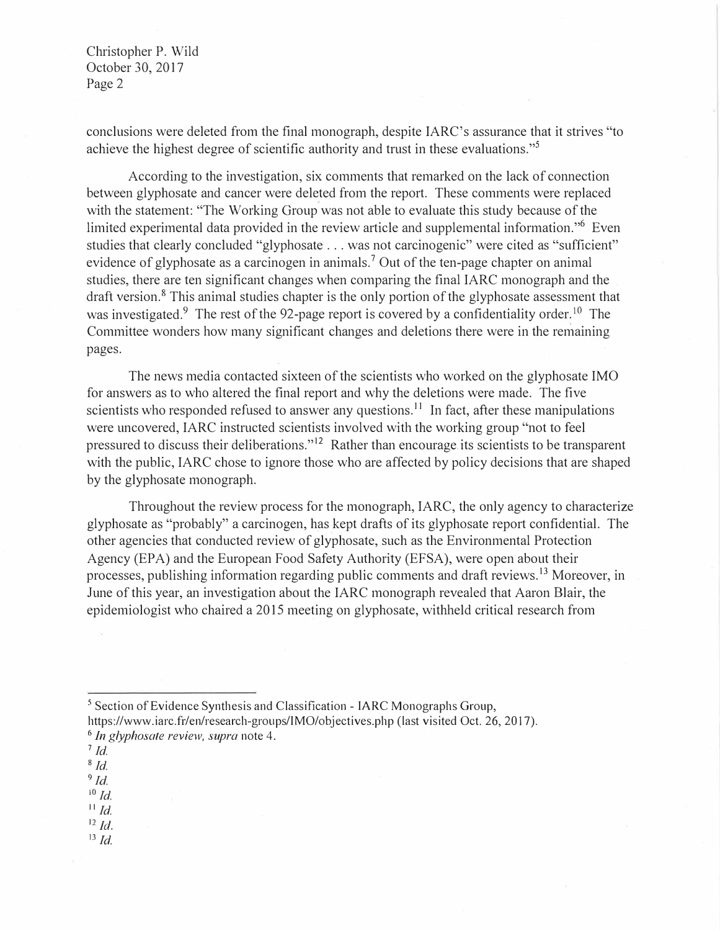Christopher P. Wild October 30, 2017 Page 2

conclusions were deleted from the final monograph, despite IARC's assurance that it strives "to achieve the highest degree of scientific authority and trust in these evaluations."<sup>5</sup>

According to the investigation, six comments that remarked on the lack of connection between glyphosate and cancer were deleted from the report. These comments were replaced with the statement: "The Working Group was not able to evaluate this study because of the limited experimental data provided in the review article and supplemental information."<sup>6</sup> Even studies that clearly concluded "glyphosate ... was not carcinogenic" were cited as "sufficient" evidence of glyphosate as a carcinogen in animals.<sup>7</sup> Out of the ten-page chapter on animal studies, there are ten significant changes when comparing the final IARC monograph and the draft version.<sup>8</sup> This animal studies chapter is the only portion of the glyphosate assessment that was investigated.<sup>9</sup> The rest of the 92-page report is covered by a confidentiality order.<sup>10</sup> The Committee wonders how many significant changes and deletions there were in the remaining pages.

The news media contacted sixteen of the scientists who worked on the glyphosate IMO for answers as to who altered the final report and why the deletions were made. The five scientists who responded refused to answer any questions.<sup>11</sup> In fact, after these manipulations were uncovered, IARC instructed scientists involved with the working group "not to feel pressured to discuss their deliberations."12 Rather than encourage.its scientists to be transparent with the public, IARC chose to ignore those who are affected by policy decisions that are shaped by the glyphosate monograph.

Throughout the review process for the monograph, IARC, the only agency to characterize glyphosate as "probably" a carcinogen, has kept drafts of its glyphosate report confidential. The other agencies that conducted review of glyphosate, such as the Environmental Protection Agency (EPA) and the European Food Safety Authority (EFSA), were open about their processes, publishing information regarding public comments and draft reviews. 13 Moreover, in June of this year, an investigation about the IARC monograph revealed that Aaron Blair, the epidemiologist who chaired a 2015 meeting on glyphosate, withheld critical research from

<sup>5</sup> Section of Evidence Synthesis and Classification - IARC Monographs Group, https://www.iarc.fr/en/research-groups/IMO/objectives.php (last visited Oct. 26, 2017). 6 *In glyphosate review, supra* note 4.

*s Id.*

<sup>9</sup>*Id.* 

<sup>10</sup>*Id.* 

 $^{11}$  *Id.* 

 $12$  *Id.* 13 *Id.* 

<sup>7</sup>*Id.*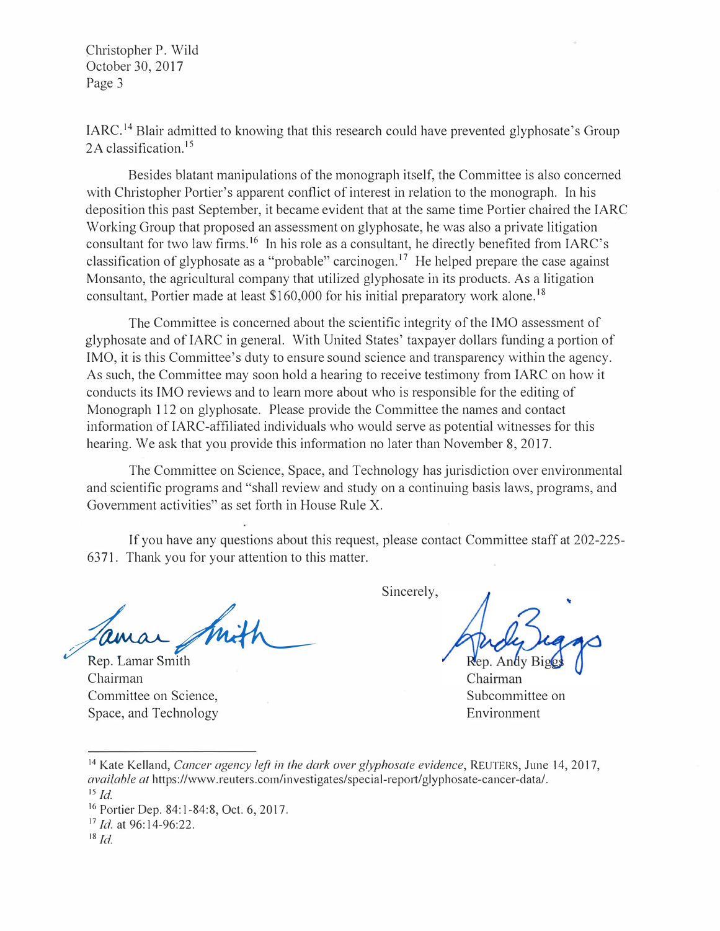Christopher P. Wild October 30, 2017 Page 3

IARC.<sup>14</sup> Blair admitted to knowing that this research could have prevented glyphosate's Group 2A classification.<sup>15</sup>

Besides blatant manipulations of the monograph itself, the Committee is also concerned with Christopher Portier's apparent conflict of interest in relation to the monograph. In his deposition this past September, it became evident that at the same time Portier chaired the IARC Working Group that proposed an assessment on glyphosate, he was also a private litigation consultant for two law firms.<sup>16</sup> In his role as a consultant, he directly benefited from IARC's classification of glyphosate as a "probable" carcinogen.<sup>17</sup> He helped prepare the case against Monsanto, the agricultural company that utilized glyphosate in its products. As a litigation consultant, Portier made at least \$160,000 for his initial preparatory work alone.<sup>18</sup>

The Committee is concerned about the scientific integrity of the IMO assessment of glyphosate and ofIARC in general. With United States' taxpayer dollars funding a portion of IMO, it is this Committee's duty to ensure sound science and transparency within the agency. As such, the Committee may soon hold a hearing to receive testimony from IARC on how it conducts itsIMO reviews and to learn more about who is responsible for the editing of Monograph 112 on glyphosate. Please provide the Committee the names and contact information of IARC-affiliated individuals who would serve as potential witnesses for this hearing. We ask that you provide this information no later than November 8, 2017.

The Committee on Science, Space, and Technology has jurisdiction over environmental and scientific programs and "shall review and study on a continuing basis laws, programs, and Government activities" as set forth in House Rule X.

If you have any questions about this request, please contact Committee staff at 202-225- 63 71. Thank you for your attention to this matter.

Jamar Smith

Chairman Committee on Science, Space, and Technology

Sincerely,

Rep. Andy Bi

Chairman Subcommittee on Environment

<sup>14</sup>Kate Kelland, *Cancer agency left in the dark over glyphosate evidence,* REUTERS, June 14, 2017, *available at https://www.reuters.com/investigates/special-report/glyphosate-cancer-data/.* 

*<sup>1</sup>s Id.* 

<sup>&</sup>lt;sup>16</sup> Portier Dep. 84:1-84:8, Oct. 6, 2017.

<sup>17</sup>*Id.* at 96:14-96:22.

*<sup>1</sup>s Id.*